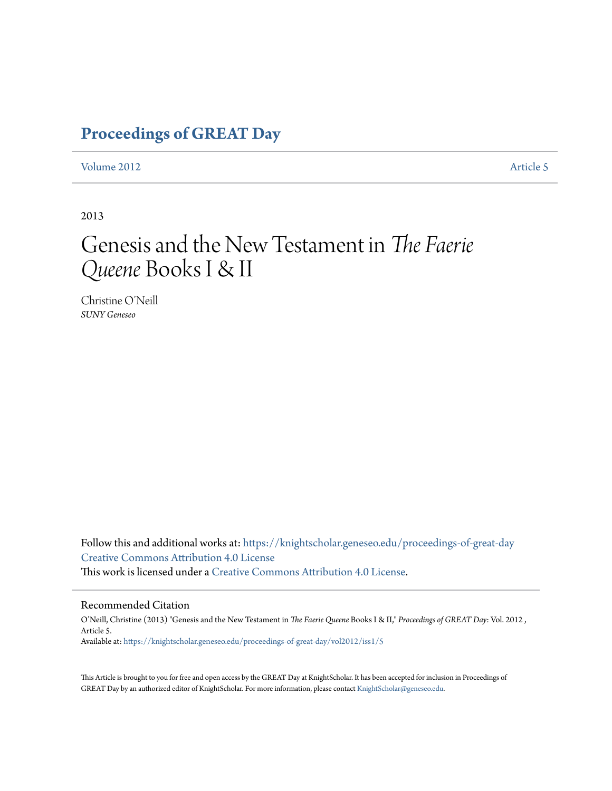### **[Proceedings of GREAT Day](https://knightscholar.geneseo.edu/proceedings-of-great-day?utm_source=knightscholar.geneseo.edu%2Fproceedings-of-great-day%2Fvol2012%2Fiss1%2F5&utm_medium=PDF&utm_campaign=PDFCoverPages)**

#### [Volume 2012](https://knightscholar.geneseo.edu/proceedings-of-great-day/vol2012?utm_source=knightscholar.geneseo.edu%2Fproceedings-of-great-day%2Fvol2012%2Fiss1%2F5&utm_medium=PDF&utm_campaign=PDFCoverPages) **[Article 5](https://knightscholar.geneseo.edu/proceedings-of-great-day/vol2012/iss1/5?utm_source=knightscholar.geneseo.edu%2Fproceedings-of-great-day%2Fvol2012%2Fiss1%2F5&utm_medium=PDF&utm_campaign=PDFCoverPages)**

2013

## Genesis and the New Testament in *The Faerie Queene* Books I & II

Christine O'Neill *SUNY Geneseo*

Follow this and additional works at: [https://knightscholar.geneseo.edu/proceedings-of-great-day](https://knightscholar.geneseo.edu/proceedings-of-great-day?utm_source=knightscholar.geneseo.edu%2Fproceedings-of-great-day%2Fvol2012%2Fiss1%2F5&utm_medium=PDF&utm_campaign=PDFCoverPages) [Creative Commons Attribution 4.0 License](http://creativecommons.org/licenses/by/4.0/) This work is licensed under a [Creative Commons Attribution 4.0 License.](http://creativecommons.org/licenses/by/4.0/)

#### Recommended Citation

O'Neill, Christine (2013) "Genesis and the New Testament in *The Faerie Queene* Books I & II," *Proceedings of GREAT Day*: Vol. 2012 , Article 5. Available at: [https://knightscholar.geneseo.edu/proceedings-of-great-day/vol2012/iss1/5](https://knightscholar.geneseo.edu/proceedings-of-great-day/vol2012/iss1/5?utm_source=knightscholar.geneseo.edu%2Fproceedings-of-great-day%2Fvol2012%2Fiss1%2F5&utm_medium=PDF&utm_campaign=PDFCoverPages)

This Article is brought to you for free and open access by the GREAT Day at KnightScholar. It has been accepted for inclusion in Proceedings of GREAT Day by an authorized editor of KnightScholar. For more information, please contact [KnightScholar@geneseo.edu.](mailto:KnightScholar@geneseo.edu)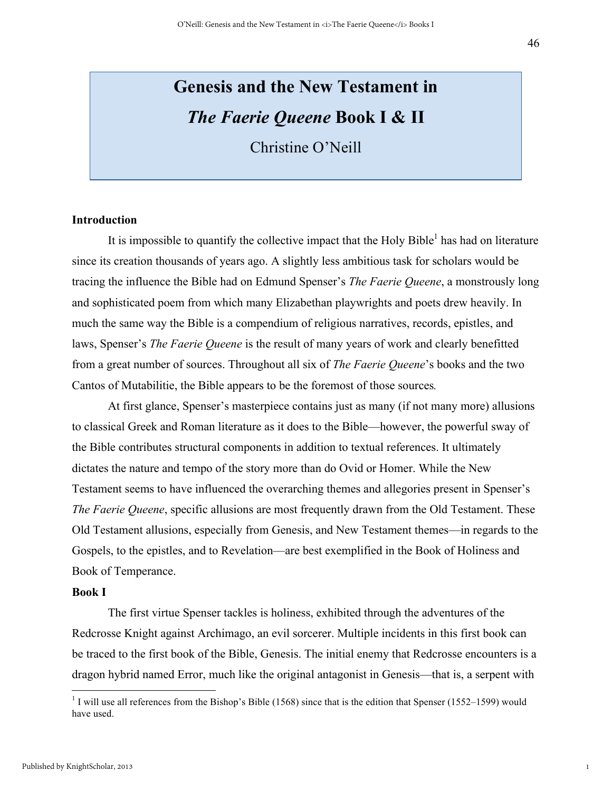# **Genesis and the New Testament in**  *The Faerie Queene* **Book I & II**

Christine O'Neill

#### **Introduction**

It is impossible to quantify the collective impact that the Holy Bible<sup>1</sup> has had on literature since its creation thousands of years ago. A slightly less ambitious task for scholars would be tracing the influence the Bible had on Edmund Spenser's *The Faerie Queene*, a monstrously long and sophisticated poem from which many Elizabethan playwrights and poets drew heavily. In much the same way the Bible is a compendium of religious narratives, records, epistles, and laws, Spenser's *The Faerie Queene* is the result of many years of work and clearly benefitted from a great number of sources. Throughout all six of *The Faerie Queene*'s books and the two Cantos of Mutabilitie, the Bible appears to be the foremost of those sources*.* 

At first glance, Spenser's masterpiece contains just as many (if not many more) allusions to classical Greek and Roman literature as it does to the Bible—however, the powerful sway of the Bible contributes structural components in addition to textual references. It ultimately dictates the nature and tempo of the story more than do Ovid or Homer. While the New Testament seems to have influenced the overarching themes and allegories present in Spenser's *The Faerie Queene*, specific allusions are most frequently drawn from the Old Testament. These Old Testament allusions, especially from Genesis, and New Testament themes—in regards to the Gospels, to the epistles, and to Revelation—are best exemplified in the Book of Holiness and Book of Temperance.

#### **Book I**

The first virtue Spenser tackles is holiness, exhibited through the adventures of the Redcrosse Knight against Archimago, an evil sorcerer. Multiple incidents in this first book can be traced to the first book of the Bible, Genesis. The initial enemy that Redcrosse encounters is a dragon hybrid named Error, much like the original antagonist in Genesis—that is, a serpent with

 $1$  I will use all references from the Bishop's Bible (1568) since that is the edition that Spenser (1552–1599) would have used.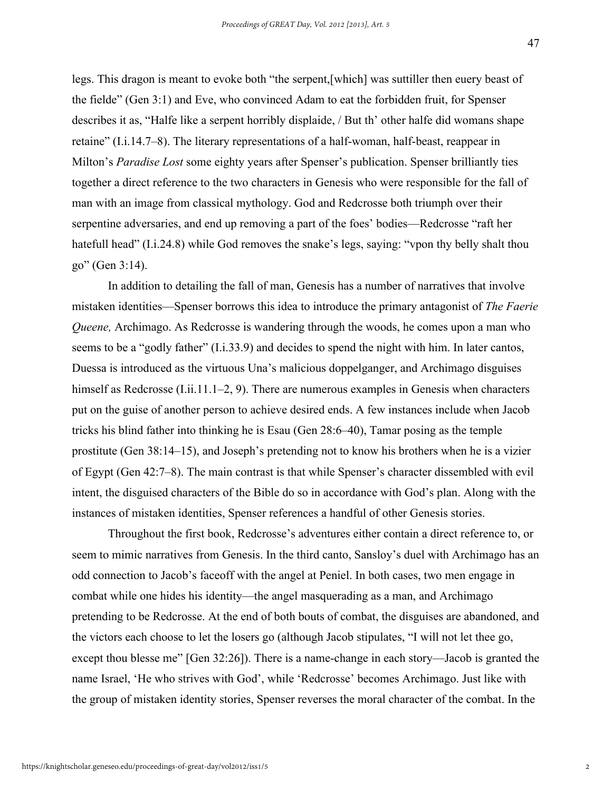legs. This dragon is meant to evoke both "the serpent,[which] was suttiller then euery beast of the fielde" (Gen 3:1) and Eve, who convinced Adam to eat the forbidden fruit, for Spenser describes it as, "Halfe like a serpent horribly displaide, / But th' other halfe did womans shape retaine" (I.i.14.7–8). The literary representations of a half-woman, half-beast, reappear in Milton's *Paradise Lost* some eighty years after Spenser's publication. Spenser brilliantly ties together a direct reference to the two characters in Genesis who were responsible for the fall of man with an image from classical mythology. God and Redcrosse both triumph over their serpentine adversaries, and end up removing a part of the foes' bodies—Redcrosse "raft her hatefull head" (I.i.24.8) while God removes the snake's legs, saying: "yoon thy belly shalt thou go" (Gen 3:14).

In addition to detailing the fall of man, Genesis has a number of narratives that involve mistaken identities—Spenser borrows this idea to introduce the primary antagonist of *The Faerie Queene,* Archimago. As Redcrosse is wandering through the woods, he comes upon a man who seems to be a "godly father" (I.i.33.9) and decides to spend the night with him. In later cantos, Duessa is introduced as the virtuous Una's malicious doppelganger, and Archimago disguises himself as Redcrosse (I.ii.11.1–2, 9). There are numerous examples in Genesis when characters put on the guise of another person to achieve desired ends. A few instances include when Jacob tricks his blind father into thinking he is Esau (Gen 28:6–40), Tamar posing as the temple prostitute (Gen 38:14–15), and Joseph's pretending not to know his brothers when he is a vizier of Egypt (Gen 42:7–8). The main contrast is that while Spenser's character dissembled with evil intent, the disguised characters of the Bible do so in accordance with God's plan. Along with the instances of mistaken identities, Spenser references a handful of other Genesis stories.

Throughout the first book, Redcrosse's adventures either contain a direct reference to, or seem to mimic narratives from Genesis. In the third canto, Sansloy's duel with Archimago has an odd connection to Jacob's faceoff with the angel at Peniel. In both cases, two men engage in combat while one hides his identity—the angel masquerading as a man, and Archimago pretending to be Redcrosse. At the end of both bouts of combat, the disguises are abandoned, and the victors each choose to let the losers go (although Jacob stipulates, "I will not let thee go, except thou blesse me" [Gen 32:26]). There is a name-change in each story—Jacob is granted the name Israel, 'He who strives with God', while 'Redcrosse' becomes Archimago. Just like with the group of mistaken identity stories, Spenser reverses the moral character of the combat. In the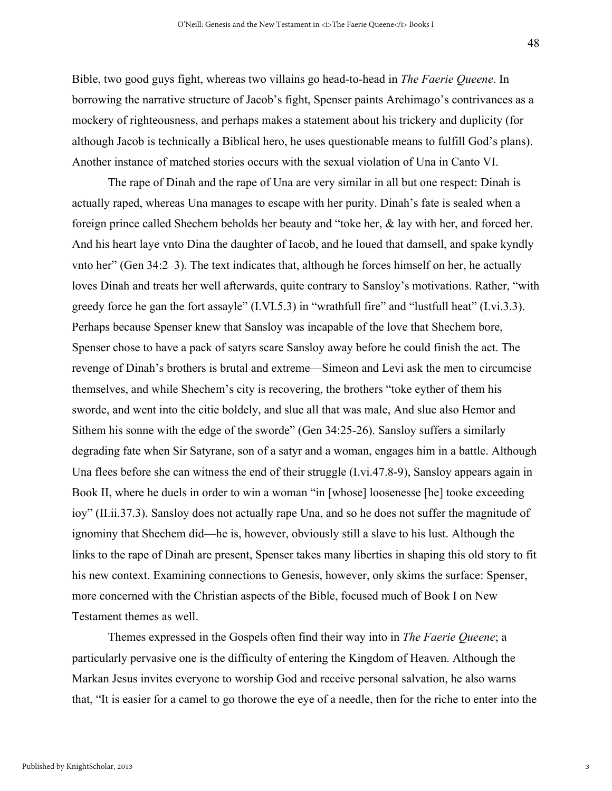Bible, two good guys fight, whereas two villains go head-to-head in *The Faerie Queene*. In borrowing the narrative structure of Jacob's fight, Spenser paints Archimago's contrivances as a mockery of righteousness, and perhaps makes a statement about his trickery and duplicity (for although Jacob is technically a Biblical hero, he uses questionable means to fulfill God's plans). Another instance of matched stories occurs with the sexual violation of Una in Canto VI.

The rape of Dinah and the rape of Una are very similar in all but one respect: Dinah is actually raped, whereas Una manages to escape with her purity. Dinah's fate is sealed when a foreign prince called Shechem beholds her beauty and "toke her, & lay with her, and forced her. And his heart laye vnto Dina the daughter of Iacob, and he loued that damsell, and spake kyndly vnto her" (Gen 34:2–3). The text indicates that, although he forces himself on her, he actually loves Dinah and treats her well afterwards, quite contrary to Sansloy's motivations. Rather, "with greedy force he gan the fort assayle" (I.VI.5.3) in "wrathfull fire" and "lustfull heat" (I.vi.3.3). Perhaps because Spenser knew that Sansloy was incapable of the love that Shechem bore, Spenser chose to have a pack of satyrs scare Sansloy away before he could finish the act. The revenge of Dinah's brothers is brutal and extreme—Simeon and Levi ask the men to circumcise themselves, and while Shechem's city is recovering, the brothers "toke eyther of them his sworde, and went into the citie boldely, and slue all that was male, And slue also Hemor and Sithem his sonne with the edge of the sworde" (Gen 34:25-26). Sansloy suffers a similarly degrading fate when Sir Satyrane, son of a satyr and a woman, engages him in a battle. Although Una flees before she can witness the end of their struggle (I.vi.47.8-9), Sansloy appears again in Book II, where he duels in order to win a woman "in [whose] loosenesse [he] tooke exceeding ioy" (II.ii.37.3). Sansloy does not actually rape Una, and so he does not suffer the magnitude of ignominy that Shechem did—he is, however, obviously still a slave to his lust. Although the links to the rape of Dinah are present, Spenser takes many liberties in shaping this old story to fit his new context. Examining connections to Genesis, however, only skims the surface: Spenser, more concerned with the Christian aspects of the Bible, focused much of Book I on New Testament themes as well.

Themes expressed in the Gospels often find their way into in *The Faerie Queene*; a particularly pervasive one is the difficulty of entering the Kingdom of Heaven. Although the Markan Jesus invites everyone to worship God and receive personal salvation, he also warns that, "It is easier for a camel to go thorowe the eye of a needle, then for the riche to enter into the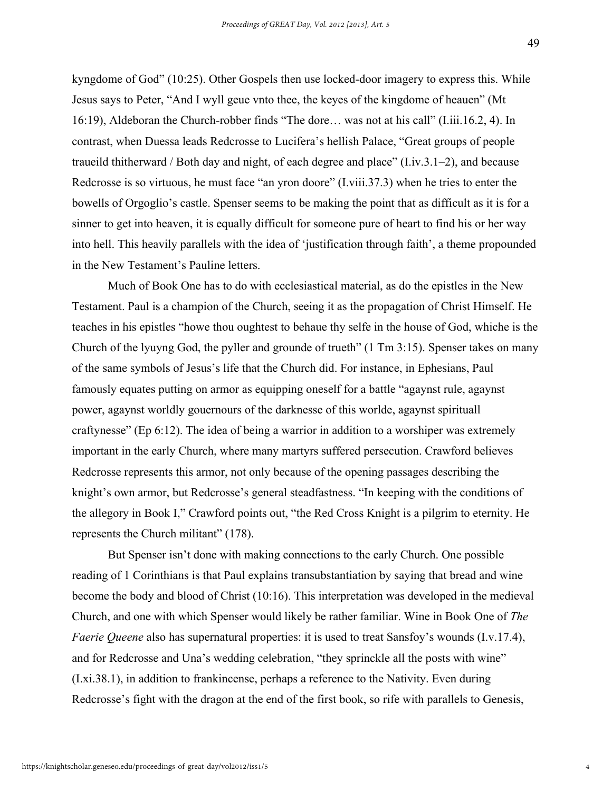kyngdome of God" (10:25). Other Gospels then use locked-door imagery to express this. While Jesus says to Peter, "And I wyll geue vnto thee, the keyes of the kingdome of heauen" (Mt 16:19), Aldeboran the Church-robber finds "The dore… was not at his call" (I.iii.16.2, 4). In contrast, when Duessa leads Redcrosse to Lucifera's hellish Palace, "Great groups of people traueild thitherward / Both day and night, of each degree and place" (I.iv.3.1–2), and because Redcrosse is so virtuous, he must face "an yron doore" (I.viii.37.3) when he tries to enter the bowells of Orgoglio's castle. Spenser seems to be making the point that as difficult as it is for a sinner to get into heaven, it is equally difficult for someone pure of heart to find his or her way into hell. This heavily parallels with the idea of 'justification through faith', a theme propounded in the New Testament's Pauline letters.

Much of Book One has to do with ecclesiastical material, as do the epistles in the New Testament. Paul is a champion of the Church, seeing it as the propagation of Christ Himself. He teaches in his epistles "howe thou oughtest to behaue thy selfe in the house of God, whiche is the Church of the lyuyng God, the pyller and grounde of trueth" (1 Tm 3:15). Spenser takes on many of the same symbols of Jesus's life that the Church did. For instance, in Ephesians, Paul famously equates putting on armor as equipping oneself for a battle "agaynst rule, agaynst power, agaynst worldly gouernours of the darknesse of this worlde, agaynst spirituall craftynesse" (Ep 6:12). The idea of being a warrior in addition to a worshiper was extremely important in the early Church, where many martyrs suffered persecution. Crawford believes Redcrosse represents this armor, not only because of the opening passages describing the knight's own armor, but Redcrosse's general steadfastness. "In keeping with the conditions of the allegory in Book I," Crawford points out, "the Red Cross Knight is a pilgrim to eternity. He represents the Church militant" (178).

But Spenser isn't done with making connections to the early Church. One possible reading of 1 Corinthians is that Paul explains transubstantiation by saying that bread and wine become the body and blood of Christ (10:16). This interpretation was developed in the medieval Church, and one with which Spenser would likely be rather familiar. Wine in Book One of *The Faerie Queene* also has supernatural properties: it is used to treat Sansfoy's wounds (I.v.17.4), and for Redcrosse and Una's wedding celebration, "they sprinckle all the posts with wine" (I.xi.38.1), in addition to frankincense, perhaps a reference to the Nativity. Even during Redcrosse's fight with the dragon at the end of the first book, so rife with parallels to Genesis,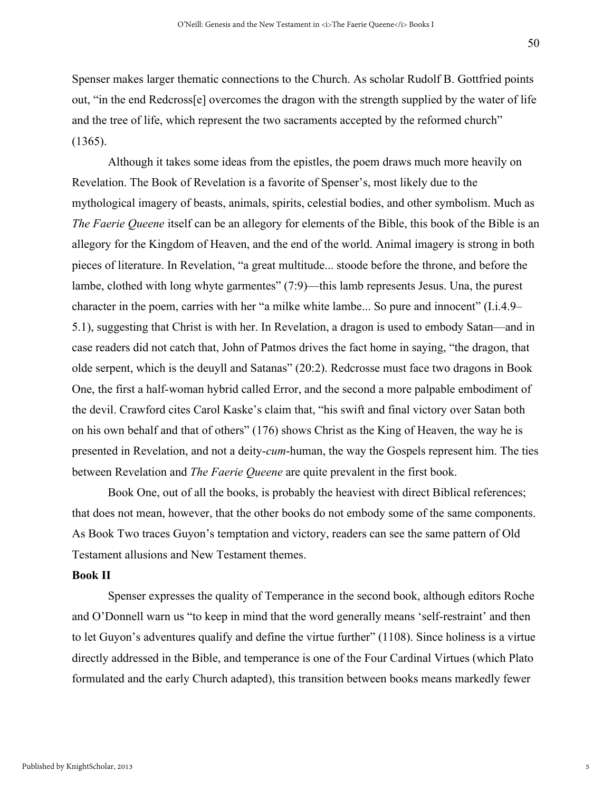Spenser makes larger thematic connections to the Church. As scholar Rudolf B. Gottfried points out, "in the end Redcross[e] overcomes the dragon with the strength supplied by the water of life and the tree of life, which represent the two sacraments accepted by the reformed church" (1365).

Although it takes some ideas from the epistles, the poem draws much more heavily on Revelation. The Book of Revelation is a favorite of Spenser's, most likely due to the mythological imagery of beasts, animals, spirits, celestial bodies, and other symbolism. Much as *The Faerie Queene* itself can be an allegory for elements of the Bible, this book of the Bible is an allegory for the Kingdom of Heaven, and the end of the world. Animal imagery is strong in both pieces of literature. In Revelation, "a great multitude... stoode before the throne, and before the lambe, clothed with long whyte garmentes" (7:9)—this lamb represents Jesus. Una, the purest character in the poem, carries with her "a milke white lambe... So pure and innocent" (I.i.4.9– 5.1), suggesting that Christ is with her. In Revelation, a dragon is used to embody Satan—and in case readers did not catch that, John of Patmos drives the fact home in saying, "the dragon, that olde serpent, which is the deuyll and Satanas" (20:2). Redcrosse must face two dragons in Book One, the first a half-woman hybrid called Error, and the second a more palpable embodiment of the devil. Crawford cites Carol Kaske's claim that, "his swift and final victory over Satan both on his own behalf and that of others" (176) shows Christ as the King of Heaven, the way he is presented in Revelation, and not a deity-*cum*-human, the way the Gospels represent him. The ties between Revelation and *The Faerie Queene* are quite prevalent in the first book.

Book One, out of all the books, is probably the heaviest with direct Biblical references; that does not mean, however, that the other books do not embody some of the same components. As Book Two traces Guyon's temptation and victory, readers can see the same pattern of Old Testament allusions and New Testament themes.

#### **Book II**

Spenser expresses the quality of Temperance in the second book, although editors Roche and O'Donnell warn us "to keep in mind that the word generally means 'self-restraint' and then to let Guyon's adventures qualify and define the virtue further" (1108). Since holiness is a virtue directly addressed in the Bible, and temperance is one of the Four Cardinal Virtues (which Plato formulated and the early Church adapted), this transition between books means markedly fewer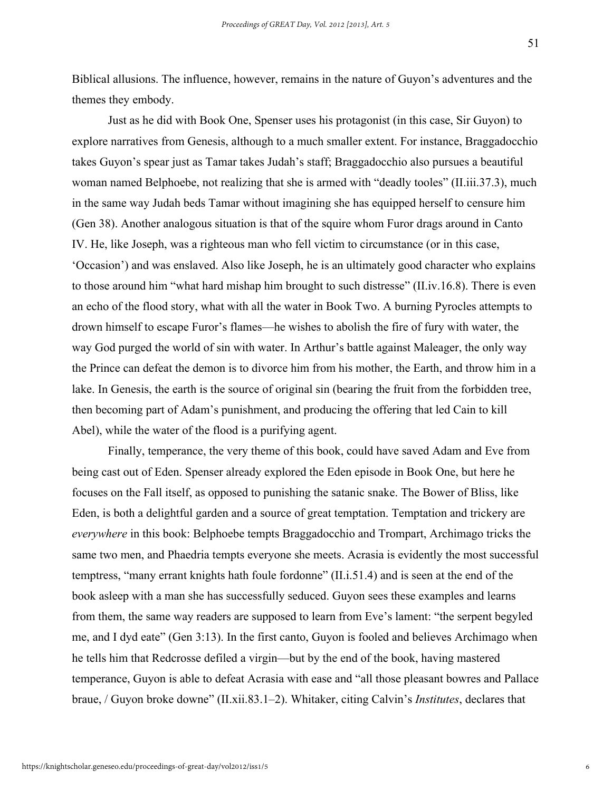Biblical allusions. The influence, however, remains in the nature of Guyon's adventures and the themes they embody.

Just as he did with Book One, Spenser uses his protagonist (in this case, Sir Guyon) to explore narratives from Genesis, although to a much smaller extent. For instance, Braggadocchio takes Guyon's spear just as Tamar takes Judah's staff; Braggadocchio also pursues a beautiful woman named Belphoebe, not realizing that she is armed with "deadly tooles" (II.iii.37.3), much in the same way Judah beds Tamar without imagining she has equipped herself to censure him (Gen 38). Another analogous situation is that of the squire whom Furor drags around in Canto IV. He, like Joseph, was a righteous man who fell victim to circumstance (or in this case, 'Occasion') and was enslaved. Also like Joseph, he is an ultimately good character who explains to those around him "what hard mishap him brought to such distresse" (II.iv.16.8). There is even an echo of the flood story, what with all the water in Book Two. A burning Pyrocles attempts to drown himself to escape Furor's flames—he wishes to abolish the fire of fury with water, the way God purged the world of sin with water. In Arthur's battle against Maleager, the only way the Prince can defeat the demon is to divorce him from his mother, the Earth, and throw him in a lake. In Genesis, the earth is the source of original sin (bearing the fruit from the forbidden tree, then becoming part of Adam's punishment, and producing the offering that led Cain to kill Abel), while the water of the flood is a purifying agent.

Finally, temperance, the very theme of this book, could have saved Adam and Eve from being cast out of Eden. Spenser already explored the Eden episode in Book One, but here he focuses on the Fall itself, as opposed to punishing the satanic snake. The Bower of Bliss, like Eden, is both a delightful garden and a source of great temptation. Temptation and trickery are *everywhere* in this book: Belphoebe tempts Braggadocchio and Trompart, Archimago tricks the same two men, and Phaedria tempts everyone she meets. Acrasia is evidently the most successful temptress, "many errant knights hath foule fordonne" (II.i.51.4) and is seen at the end of the book asleep with a man she has successfully seduced. Guyon sees these examples and learns from them, the same way readers are supposed to learn from Eve's lament: "the serpent begyled me, and I dyd eate" (Gen 3:13). In the first canto, Guyon is fooled and believes Archimago when he tells him that Redcrosse defiled a virgin—but by the end of the book, having mastered temperance, Guyon is able to defeat Acrasia with ease and "all those pleasant bowres and Pallace braue, / Guyon broke downe" (II.xii.83.1–2). Whitaker, citing Calvin's *Institutes*, declares that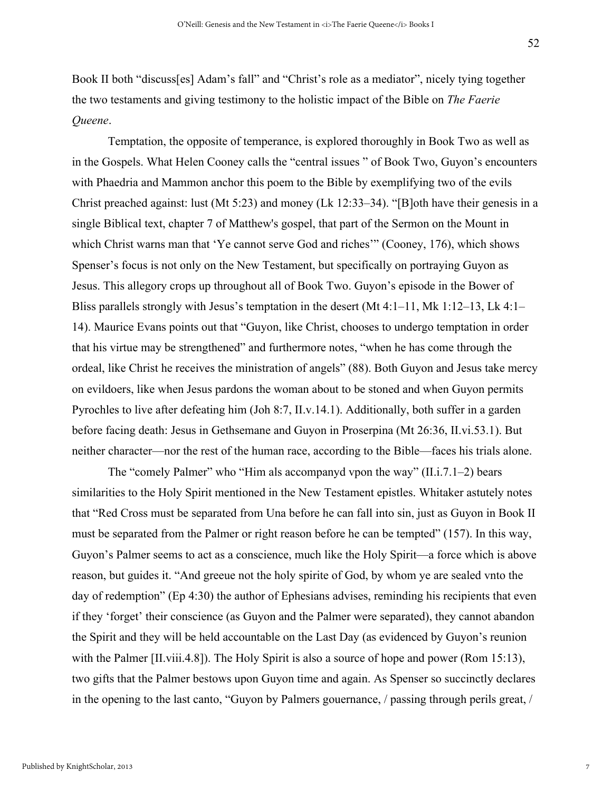Book II both "discuss[es] Adam's fall" and "Christ's role as a mediator", nicely tying together the two testaments and giving testimony to the holistic impact of the Bible on *The Faerie Queene*.

Temptation, the opposite of temperance, is explored thoroughly in Book Two as well as in the Gospels. What Helen Cooney calls the "central issues " of Book Two, Guyon's encounters with Phaedria and Mammon anchor this poem to the Bible by exemplifying two of the evils Christ preached against: lust (Mt 5:23) and money (Lk 12:33–34). "[B]oth have their genesis in a single Biblical text, chapter 7 of Matthew's gospel, that part of the Sermon on the Mount in which Christ warns man that 'Ye cannot serve God and riches'" (Cooney, 176), which shows Spenser's focus is not only on the New Testament, but specifically on portraying Guyon as Jesus. This allegory crops up throughout all of Book Two. Guyon's episode in the Bower of Bliss parallels strongly with Jesus's temptation in the desert (Mt 4:1–11, Mk 1:12–13, Lk 4:1– 14). Maurice Evans points out that "Guyon, like Christ, chooses to undergo temptation in order that his virtue may be strengthened" and furthermore notes, "when he has come through the ordeal, like Christ he receives the ministration of angels" (88). Both Guyon and Jesus take mercy on evildoers, like when Jesus pardons the woman about to be stoned and when Guyon permits Pyrochles to live after defeating him (Joh 8:7, II.v.14.1). Additionally, both suffer in a garden before facing death: Jesus in Gethsemane and Guyon in Proserpina (Mt 26:36, II.vi.53.1). But neither character—nor the rest of the human race, according to the Bible—faces his trials alone.

The "comely Palmer" who "Him als accompanyd vpon the way" (II.i.7.1–2) bears similarities to the Holy Spirit mentioned in the New Testament epistles. Whitaker astutely notes that "Red Cross must be separated from Una before he can fall into sin, just as Guyon in Book II must be separated from the Palmer or right reason before he can be tempted" (157). In this way, Guyon's Palmer seems to act as a conscience, much like the Holy Spirit—a force which is above reason, but guides it. "And greeue not the holy spirite of God, by whom ye are sealed vnto the day of redemption" (Ep 4:30) the author of Ephesians advises, reminding his recipients that even if they 'forget' their conscience (as Guyon and the Palmer were separated), they cannot abandon the Spirit and they will be held accountable on the Last Day (as evidenced by Guyon's reunion with the Palmer [II.viii.4.8]). The Holy Spirit is also a source of hope and power (Rom 15:13), two gifts that the Palmer bestows upon Guyon time and again. As Spenser so succinctly declares in the opening to the last canto, "Guyon by Palmers gouernance, / passing through perils great, /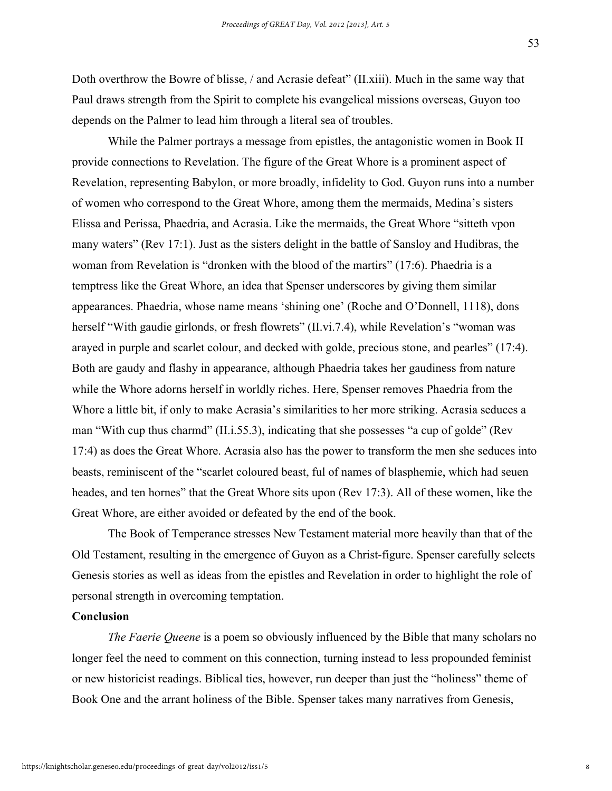Doth overthrow the Bowre of blisse, / and Acrasie defeat" (II.xiii). Much in the same way that Paul draws strength from the Spirit to complete his evangelical missions overseas, Guyon too depends on the Palmer to lead him through a literal sea of troubles.

While the Palmer portrays a message from epistles, the antagonistic women in Book II provide connections to Revelation. The figure of the Great Whore is a prominent aspect of Revelation, representing Babylon, or more broadly, infidelity to God. Guyon runs into a number of women who correspond to the Great Whore, among them the mermaids, Medina's sisters Elissa and Perissa, Phaedria, and Acrasia. Like the mermaids, the Great Whore "sitteth vpon many waters" (Rev 17:1). Just as the sisters delight in the battle of Sansloy and Hudibras, the woman from Revelation is "dronken with the blood of the martirs" (17:6). Phaedria is a temptress like the Great Whore, an idea that Spenser underscores by giving them similar appearances. Phaedria, whose name means 'shining one' (Roche and O'Donnell, 1118), dons herself "With gaudie girlonds, or fresh flowrets" (II.vi.7.4), while Revelation's "woman was arayed in purple and scarlet colour, and decked with golde, precious stone, and pearles" (17:4). Both are gaudy and flashy in appearance, although Phaedria takes her gaudiness from nature while the Whore adorns herself in worldly riches. Here, Spenser removes Phaedria from the Whore a little bit, if only to make Acrasia's similarities to her more striking. Acrasia seduces a man "With cup thus charmd" (II.i.55.3), indicating that she possesses "a cup of golde" (Rev 17:4) as does the Great Whore. Acrasia also has the power to transform the men she seduces into beasts, reminiscent of the "scarlet coloured beast, ful of names of blasphemie, which had seuen heades, and ten hornes" that the Great Whore sits upon (Rev 17:3). All of these women, like the Great Whore, are either avoided or defeated by the end of the book.

The Book of Temperance stresses New Testament material more heavily than that of the Old Testament, resulting in the emergence of Guyon as a Christ-figure. Spenser carefully selects Genesis stories as well as ideas from the epistles and Revelation in order to highlight the role of personal strength in overcoming temptation.

#### **Conclusion**

*The Faerie Queene* is a poem so obviously influenced by the Bible that many scholars no longer feel the need to comment on this connection, turning instead to less propounded feminist or new historicist readings. Biblical ties, however, run deeper than just the "holiness" theme of Book One and the arrant holiness of the Bible. Spenser takes many narratives from Genesis,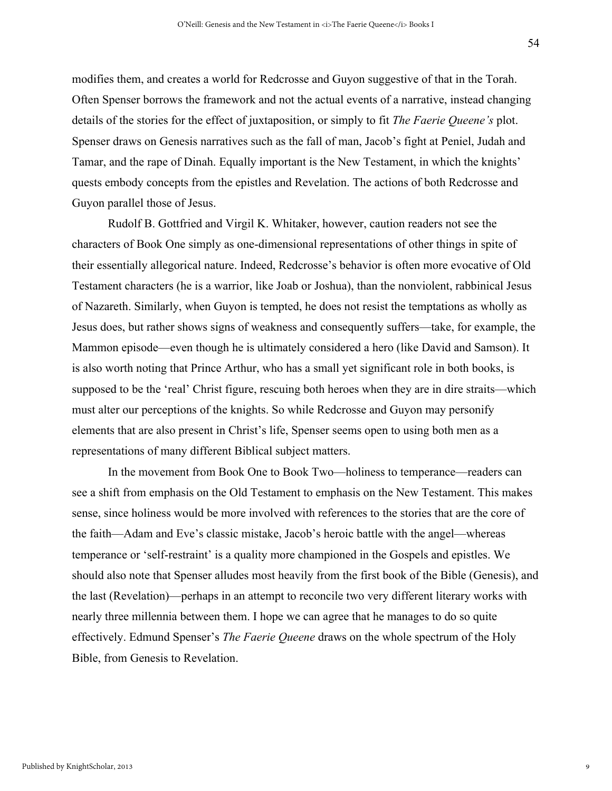modifies them, and creates a world for Redcrosse and Guyon suggestive of that in the Torah. Often Spenser borrows the framework and not the actual events of a narrative, instead changing details of the stories for the effect of juxtaposition, or simply to fit *The Faerie Queene's* plot. Spenser draws on Genesis narratives such as the fall of man, Jacob's fight at Peniel, Judah and Tamar, and the rape of Dinah. Equally important is the New Testament, in which the knights' quests embody concepts from the epistles and Revelation. The actions of both Redcrosse and Guyon parallel those of Jesus.

Rudolf B. Gottfried and Virgil K. Whitaker, however, caution readers not see the characters of Book One simply as one-dimensional representations of other things in spite of their essentially allegorical nature. Indeed, Redcrosse's behavior is often more evocative of Old Testament characters (he is a warrior, like Joab or Joshua), than the nonviolent, rabbinical Jesus of Nazareth. Similarly, when Guyon is tempted, he does not resist the temptations as wholly as Jesus does, but rather shows signs of weakness and consequently suffers—take, for example, the Mammon episode—even though he is ultimately considered a hero (like David and Samson). It is also worth noting that Prince Arthur, who has a small yet significant role in both books, is supposed to be the 'real' Christ figure, rescuing both heroes when they are in dire straits—which must alter our perceptions of the knights. So while Redcrosse and Guyon may personify elements that are also present in Christ's life, Spenser seems open to using both men as a representations of many different Biblical subject matters.

In the movement from Book One to Book Two—holiness to temperance—readers can see a shift from emphasis on the Old Testament to emphasis on the New Testament. This makes sense, since holiness would be more involved with references to the stories that are the core of the faith—Adam and Eve's classic mistake, Jacob's heroic battle with the angel—whereas temperance or 'self-restraint' is a quality more championed in the Gospels and epistles. We should also note that Spenser alludes most heavily from the first book of the Bible (Genesis), and the last (Revelation)—perhaps in an attempt to reconcile two very different literary works with nearly three millennia between them. I hope we can agree that he manages to do so quite effectively. Edmund Spenser's *The Faerie Queene* draws on the whole spectrum of the Holy Bible, from Genesis to Revelation.